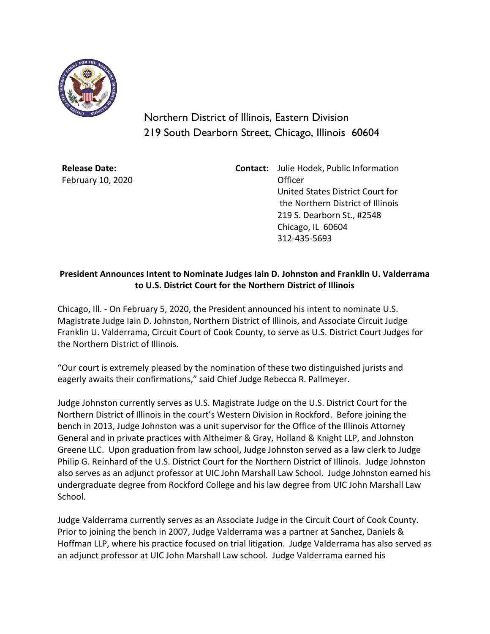

Northern District of Illinois, Eastern Division 219 South Dearborn Street, Chicago, Illinois 60604

**Release Date:** February 10, 2020 **Contact:** Julie Hodek, Public Information Officer United States District Court for the Northern District of Illinois 219 S. Dearborn St., #2548 Chicago, IL 60604 312-435-5693

## **President Announces Intent to Nominate Judges Iain D. Johnston and Franklin U. Valderrama to U.S. District Court for the Northern District of Illinois**

Chicago, Ill. - On February 5, 2020, the President announced his intent to nominate U.S. Magistrate Judge Iain D. Johnston, Northern District of Illinois, and Associate Circuit Judge Franklin U. Valderrama, Circuit Court of Cook County, to serve as U.S. District Court Judges for the Northern District of Illinois.

"Our court is extremely pleased by the nomination of these two distinguished jurists and eagerly awaits their confirmations," said Chief Judge Rebecca R. Pallmeyer.

Judge Johnston currently serves as U.S. Magistrate Judge on the U.S. District Court for the Northern District of Illinois in the court's Western Division in Rockford. Before joining the bench in 2013, Judge Johnston was a unit supervisor for the Office of the Illinois Attorney General and in private practices with Altheimer & Gray, Holland & Knight LLP, and Johnston Greene LLC. Upon graduation from law school, Judge Johnston served as a law clerk to Judge Philip G. Reinhard of the U.S. District Court for the Northern District of Illinois. Judge Johnston also serves as an adjunct professor at UIC John Marshall Law School. Judge Johnston earned his undergraduate degree from Rockford College and his law degree from UIC John Marshall Law School.

Judge Valderrama currently serves as an Associate Judge in the Circuit Court of Cook County. Prior to joining the bench in 2007, Judge Valderrama was a partner at Sanchez, Daniels & Hoffman LLP, where his practice focused on trial litigation. Judge Valderrama has also served as an adjunct professor at UIC John Marshall Law school. Judge Valderrama earned his